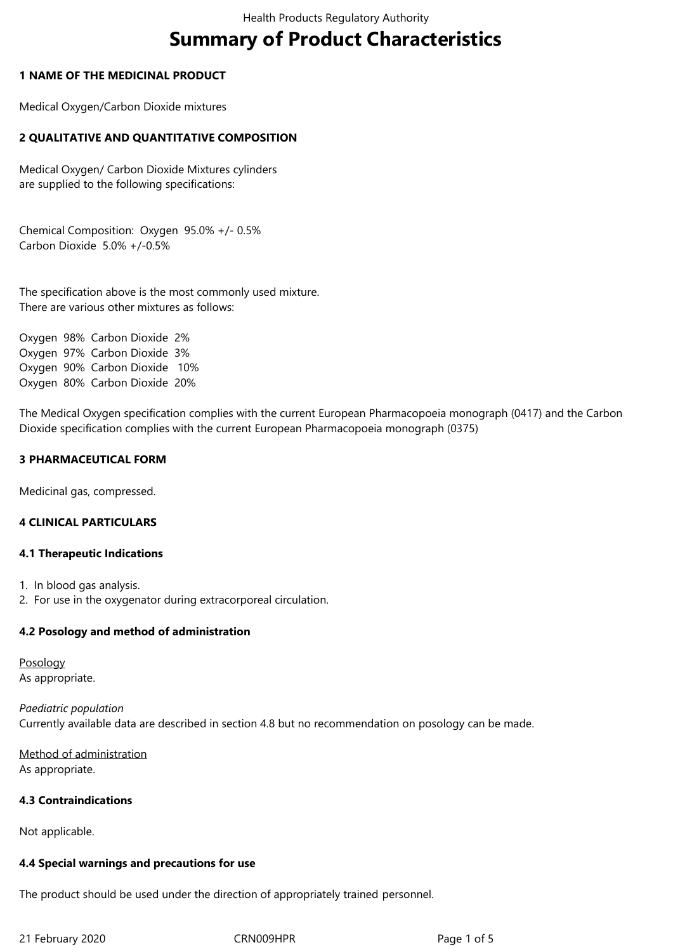# **Summary of Product Characteristics**

## **1 NAME OF THE MEDICINAL PRODUCT**

Medical Oxygen/Carbon Dioxide mixtures

# **2 QUALITATIVE AND QUANTITATIVE COMPOSITION**

Medical Oxygen/ Carbon Dioxide Mixtures cylinders are supplied to the following specifications:

Chemical Composition: Oxygen 95.0% +/- 0.5% Carbon Dioxide 5.0% +/-0.5%

The specification above is the most commonly used mixture. There are various other mixtures as follows:

Oxygen 98% Carbon Dioxide 2% Oxygen 97% Carbon Dioxide 3% Oxygen 90% Carbon Dioxide 10% Oxygen 80% Carbon Dioxide 20%

The Medical Oxygen specification complies with the current European Pharmacopoeia monograph (0417) and the Carbon Dioxide specification complies with the current European Pharmacopoeia monograph (0375)

# **3 PHARMACEUTICAL FORM**

Medicinal gas, compressed.

## **4 CLINICAL PARTICULARS**

## **4.1 Therapeutic Indications**

- 1. In blood gas analysis.
- 2. For use in the oxygenator during extracorporeal circulation.

## **4.2 Posology and method of administration**

Posology As appropriate.

*Paediatric population* Currently available data are described in section 4.8 but no recommendation on posology can be made.

Method of administration As appropriate.

## **4.3 Contraindications**

Not applicable.

## **4.4 Special warnings and precautions for use**

The product should be used under the direction of appropriately trained personnel.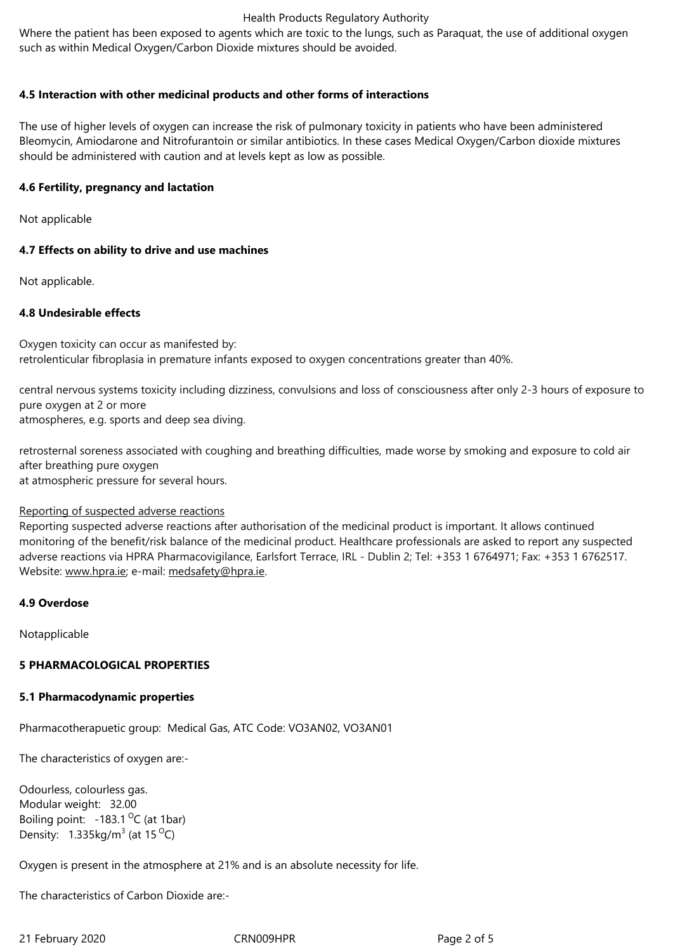## **4.5 Interaction with other medicinal products and other forms of interactions**

The use of higher levels of oxygen can increase the risk of pulmonary toxicity in patients who have been administered Bleomycin, Amiodarone and Nitrofurantoin or similar antibiotics. In these cases Medical Oxygen/Carbon dioxide mixtures should be administered with caution and at levels kept as low as possible.

# **4.6 Fertility, pregnancy and lactation**

Not applicable

# **4.7 Effects on ability to drive and use machines**

Not applicable.

# **4.8 Undesirable effects**

Oxygen toxicity can occur as manifested by: retrolenticular fibroplasia in premature infants exposed to oxygen concentrations greater than 40%.

central nervous systems toxicity including dizziness, convulsions and loss of consciousness after only 2-3 hours of exposure to pure oxygen at 2 or more atmospheres, e.g. sports and deep sea diving.

retrosternal soreness associated with coughing and breathing difficulties, made worse by smoking and exposure to cold air after breathing pure oxygen at atmospheric pressure for several hours.

## Reporting of suspected adverse reactions

Reporting suspected adverse reactions after authorisation of the medicinal product is important. It allows continued monitoring of the benefit/risk balance of the medicinal product. Healthcare professionals are asked to report any suspected adverse reactions via HPRA Pharmacovigilance, Earlsfort Terrace, IRL - Dublin 2; Tel: +353 1 6764971; Fax: +353 1 6762517. Website: www.hpra.ie; e-mail: medsafety@hpra.ie.

## **4.9 Overdose**

Notappli[cable](http://www.hpra.ie/)

# **5 PHARMACOLOGICAL PROPERTIES**

## **5.1 Pharmacodynamic properties**

Pharmacotherapuetic group: Medical Gas, ATC Code: VO3AN02, VO3AN01

The characteristics of oxygen are:-

Odourless, colourless gas. Modular weight: 32.00 Boiling point:  $-183.1\,^{\circ}$ C (at 1bar) Density:  $1.335 \text{kg/m}^3$  (at 15 <sup>O</sup>C)

Oxygen is present in the atmosphere at 21% and is an absolute necessity for life.

The characteristics of Carbon Dioxide are:-

21 February 2020 **CRN009HPR** 21 February 2020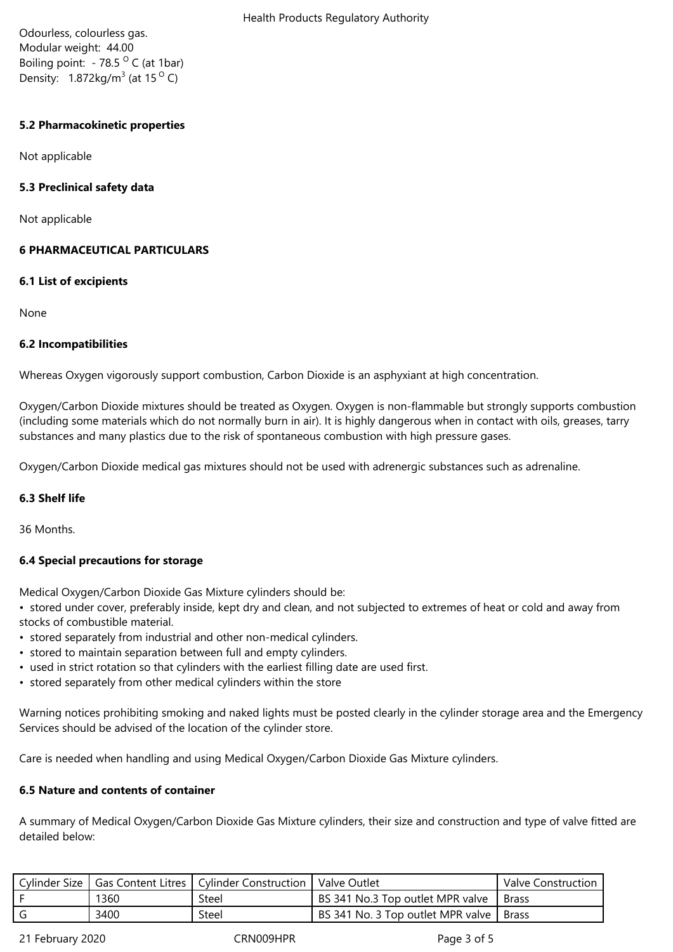Odourless, colourless gas. Modular weight: 44.00 Boiling point:  $-78.5$  <sup>O</sup> C (at 1bar) Density:  $1.872 \text{kg/m}^3$  (at 15  $^{\circ}$  C)

# **5.2 Pharmacokinetic properties**

Not applicable

# **5.3 Preclinical safety data**

Not applicable

# **6 PHARMACEUTICAL PARTICULARS**

## **6.1 List of excipients**

None

# **6.2 Incompatibilities**

Whereas Oxygen vigorously support combustion, Carbon Dioxide is an asphyxiant at high concentration.

Oxygen/Carbon Dioxide mixtures should be treated as Oxygen. Oxygen is non-flammable but strongly supports combustion (including some materials which do not normally burn in air). It is highly dangerous when in contact with oils, greases, tarry substances and many plastics due to the risk of spontaneous combustion with high pressure gases.

Oxygen/Carbon Dioxide medical gas mixtures should not be used with adrenergic substances such as adrenaline.

## **6.3 Shelf life**

36 Months.

# **6.4 Special precautions for storage**

Medical Oxygen/Carbon Dioxide Gas Mixture cylinders should be:

• stored under cover, preferably inside, kept dry and clean, and not subjected to extremes of heat or cold and away from stocks of combustible material.

- stored separately from industrial and other non-medical cylinders.
- stored to maintain separation between full and empty cylinders.
- used in strict rotation so that cylinders with the earliest filling date are used first.
- stored separately from other medical cylinders within the store

Warning notices prohibiting smoking and naked lights must be posted clearly in the cylinder storage area and the Emergency Services should be advised of the location of the cylinder store.

Care is needed when handling and using Medical Oxygen/Carbon Dioxide Gas Mixture cylinders.

# **6.5 Nature and contents of container**

A summary of Medical Oxygen/Carbon Dioxide Gas Mixture cylinders, their size and construction and type of valve fitted are detailed below:

|      | Cylinder Size   Gas Content Litres   Cylinder Construction | Valve Outlet                              | Valve Construction |
|------|------------------------------------------------------------|-------------------------------------------|--------------------|
| 1360 | Steel                                                      | BS 341 No.3 Top outlet MPR valve          | ' Brass            |
| 3400 | Steel                                                      | BS 341 No. 3 Top outlet MPR valve   Brass |                    |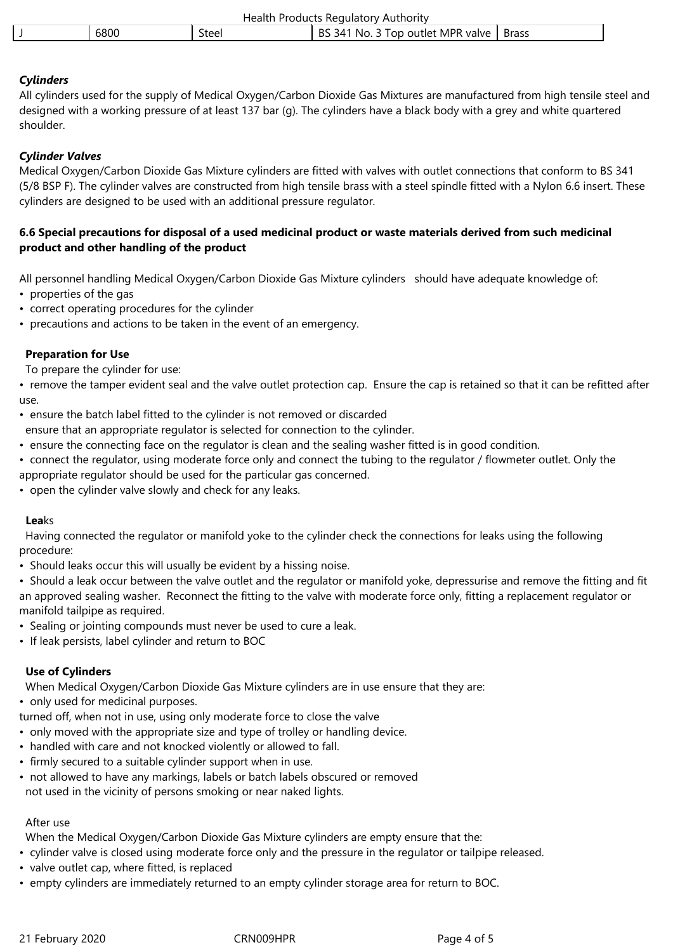| <b>Health Products Regulatory Authority</b> |       |                                           |  |  |  |
|---------------------------------------------|-------|-------------------------------------------|--|--|--|
| 6800                                        | Steel | BS 341 No. 3 Top outlet MPR valve   Brass |  |  |  |

# *Cylinders*

All cylinders used for the supply of Medical Oxygen/Carbon Dioxide Gas Mixtures are manufactured from high tensile steel and designed with a working pressure of at least 137 bar (g). The cylinders have a black body with a grey and white quartered shoulder.

# *Cylinder Valves*

Medical Oxygen/Carbon Dioxide Gas Mixture cylinders are fitted with valves with outlet connections that conform to BS 341 (5/8 BSP F). The cylinder valves are constructed from high tensile brass with a steel spindle fitted with a Nylon 6.6 insert. These cylinders are designed to be used with an additional pressure regulator.

# **6.6 Special precautions for disposal of a used medicinal product or waste materials derived from such medicinal product and other handling of the product**

All personnel handling Medical Oxygen/Carbon Dioxide Gas Mixture cylinders should have adequate knowledge of: • properties of the gas

- correct operating procedures for the cylinder
- precautions and actions to be taken in the event of an emergency.

# **Preparation for Use**

To prepare the cylinder for use:

• remove the tamper evident seal and the valve outlet protection cap. Ensure the cap is retained so that it can be refitted after use.

• ensure the batch label fitted to the cylinder is not removed or discarded

- ensure that an appropriate regulator is selected for connection to the cylinder.
- ensure the connecting face on the regulator is clean and the sealing washer fitted is in good condition.
- connect the regulator, using moderate force only and connect the tubing to the regulator / flowmeter outlet. Only the appropriate regulator should be used for the particular gas concerned.
- 
- open the cylinder valve slowly and check for any leaks.

## **Lea**ks

 Having connected the regulator or manifold yoke to the cylinder check the connections for leaks using the following procedure:

• Should leaks occur this will usually be evident by a hissing noise.

• Should a leak occur between the valve outlet and the regulator or manifold yoke, depressurise and remove the fitting and fit an approved sealing washer. Reconnect the fitting to the valve with moderate force only, fitting a replacement regulator or manifold tailpipe as required.

- Sealing or jointing compounds must never be used to cure a leak.
- If leak persists, label cylinder and return to BOC

## **Use of Cylinders**

When Medical Oxygen/Carbon Dioxide Gas Mixture cylinders are in use ensure that they are:

• only used for medicinal purposes.

turned off, when not in use, using only moderate force to close the valve

- only moved with the appropriate size and type of trolley or handling device.
- handled with care and not knocked violently or allowed to fall.
- firmly secured to a suitable cylinder support when in use.
- not allowed to have any markings, labels or batch labels obscured or removed not used in the vicinity of persons smoking or near naked lights.

# After use

When the Medical Oxygen/Carbon Dioxide Gas Mixture cylinders are empty ensure that the:

- cylinder valve is closed using moderate force only and the pressure in the regulator or tailpipe released.
- valve outlet cap, where fitted, is replaced
- empty cylinders are immediately returned to an empty cylinder storage area for return to BOC.